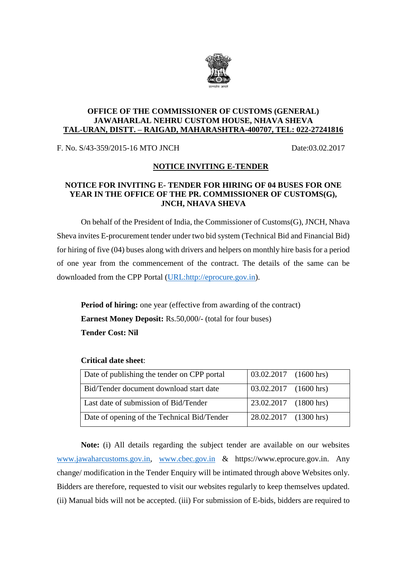

## **OFFICE OF THE COMMISSIONER OF CUSTOMS (GENERAL) JAWAHARLAL NEHRU CUSTOM HOUSE, NHAVA SHEVA TAL-URAN, DISTT. – RAIGAD, MAHARASHTRA-400707, TEL: 022-27241816**

F. No. S/43-359/2015-16 MTO JNCH Date:03.02.2017

## **NOTICE INVITING E-TENDER**

## **NOTICE FOR INVITING E- TENDER FOR HIRING OF 04 BUSES FOR ONE YEAR IN THE OFFICE OF THE PR. COMMISSIONER OF CUSTOMS(G), JNCH, NHAVA SHEVA**

On behalf of the President of India, the Commissioner of Customs(G), JNCH, Nhava Sheva invites E-procurement tender under two bid system (Technical Bid and Financial Bid) for hiring of five (04) buses along with drivers and helpers on monthly hire basis for a period of one year from the commencement of the contract. The details of the same can be downloaded from the CPP Portal [\(URL:http://eprocure.gov.in\)](http://eprocure.gov.in/).

**Period of hiring:** one year (effective from awarding of the contract) **Earnest Money Deposit:** Rs.50,000/- (total for four buses) **Tender Cost: Nil**

| Date of publishing the tender on CPP portal | $\vert 03.02.2017 \vert (1600 \text{ hrs}) \vert$ |  |
|---------------------------------------------|---------------------------------------------------|--|
| Bid/Tender document download start date     | 03.02.2017 (1600 hrs)                             |  |
| Last date of submission of Bid/Tender       | 23.02.2017 (1800 hrs)                             |  |
| Date of opening of the Technical Bid/Tender | 28.02.2017 (1300 hrs)                             |  |

## **Critical date sheet**:

**Note:** (i) All details regarding the subject tender are available on our websites [www.jawaharcustoms.gov.in,](http://www.jawaharcustoms.gov.in/) [www.cbec.gov.in](http://www.cbec.gov.in/) & https://www.eprocure.gov.in. Any change/ modification in the Tender Enquiry will be intimated through above Websites only. Bidders are therefore, requested to visit our websites regularly to keep themselves updated. (ii) Manual bids will not be accepted. (iii) For submission of E-bids, bidders are required to